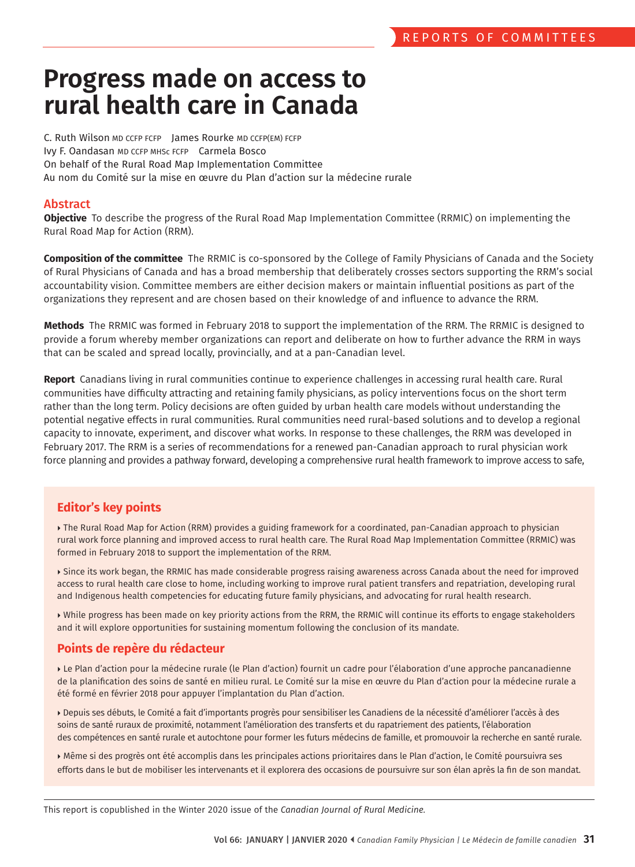# **Progress made on access to rural health care in Canada**

C. Ruth Wilson MD CCFP FCFP James Rourke MD CCFP(EM) FCFP Ivy F. Oandasan MD CCFP MHSc FCFP Carmela Bosco On behalf of the Rural Road Map Implementation Committee Au nom du Comité sur la mise en œuvre du Plan d'action sur la médecine rurale

## Abstract

**Objective** To describe the progress of the Rural Road Map Implementation Committee (RRMIC) on implementing the Rural Road Map for Action (RRM).

**Composition of the committee** The RRMIC is co-sponsored by the College of Family Physicians of Canada and the Society of Rural Physicians of Canada and has a broad membership that deliberately crosses sectors supporting the RRM's social accountability vision. Committee members are either decision makers or maintain influential positions as part of the organizations they represent and are chosen based on their knowledge of and influence to advance the RRM.

**Methods** The RRMIC was formed in February 2018 to support the implementation of the RRM. The RRMIC is designed to provide a forum whereby member organizations can report and deliberate on how to further advance the RRM in ways that can be scaled and spread locally, provincially, and at a pan-Canadian level.

**Report** Canadians living in rural communities continue to experience challenges in accessing rural health care. Rural communities have difficulty attracting and retaining family physicians, as policy interventions focus on the short term rather than the long term. Policy decisions are often guided by urban health care models without understanding the potential negative effects in rural communities. Rural communities need rural-based solutions and to develop a regional capacity to innovate, experiment, and discover what works. In response to these challenges, the RRM was developed in February 2017. The RRM is a series of recommendations for a renewed pan-Canadian approach to rural physician work force planning and provides a pathway forward, developing a comprehensive rural health framework to improve access to safe,

## **Editor's key points**

 The Rural Road Map for Action (RRM) provides a guiding framework for a coordinated, pan-Canadian approach to physician rural work force planning and improved access to rural health care. The Rural Road Map Implementation Committee (RRMIC) was formed in February 2018 to support the implementation of the RRM.

▶ Since its work began, the RRMIC has made considerable progress raising awareness across Canada about the need for improved access to rural health care close to home, including working to improve rural patient transfers and repatriation, developing rural and Indigenous health competencies for educating future family physicians, and advocating for rural health research.

 While progress has been made on key priority actions from the RRM, the RRMIC will continue its efforts to engage stakeholders and it will explore opportunities for sustaining momentum following the conclusion of its mandate.

## **Points de repère du rédacteur**

 Le Plan d'action pour la médecine rurale (le Plan d'action) fournit un cadre pour l'élaboration d'une approche pancanadienne de la planification des soins de santé en milieu rural. Le Comité sur la mise en œuvre du Plan d'action pour la médecine rurale a été formé en février 2018 pour appuyer l'implantation du Plan d'action.

 Depuis ses débuts, le Comité a fait d'importants progrès pour sensibiliser les Canadiens de la nécessité d'améliorer l'accès à des soins de santé ruraux de proximité, notamment l'amélioration des transferts et du rapatriement des patients, l'élaboration des compétences en santé rurale et autochtone pour former les futurs médecins de famille, et promouvoir la recherche en santé rurale.

 Même si des progrès ont été accomplis dans les principales actions prioritaires dans le Plan d'action, le Comité poursuivra ses efforts dans le but de mobiliser les intervenants et il explorera des occasions de poursuivre sur son élan après la fin de son mandat.

This report is copublished in the Winter 2020 issue of the *Canadian Journal of Rural Medicine.*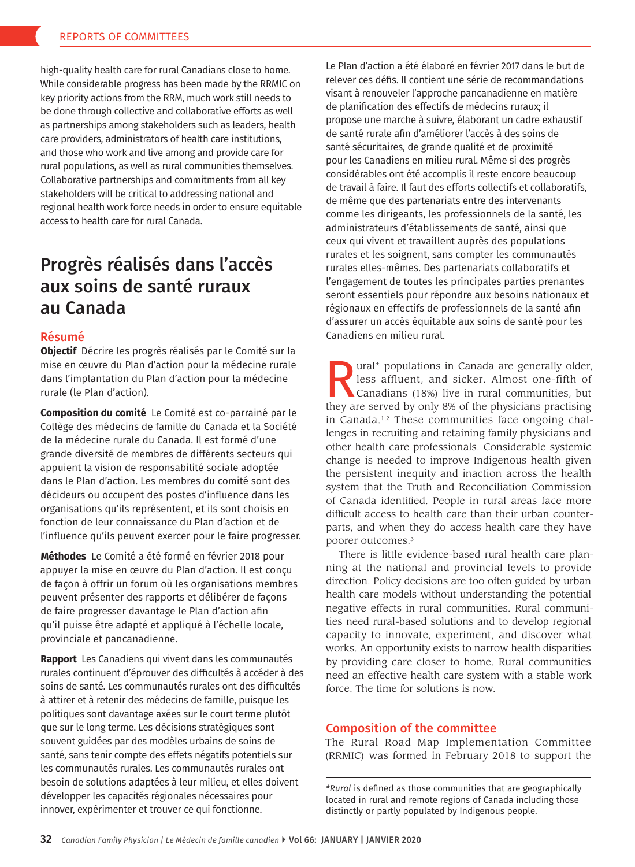high-quality health care for rural Canadians close to home. While considerable progress has been made by the RRMIC on key priority actions from the RRM, much work still needs to be done through collective and collaborative efforts as well as partnerships among stakeholders such as leaders, health care providers, administrators of health care institutions, and those who work and live among and provide care for rural populations, as well as rural communities themselves. Collaborative partnerships and commitments from all key stakeholders will be critical to addressing national and regional health work force needs in order to ensure equitable access to health care for rural Canada.

## Progrès réalisés dans l'accès aux soins de santé ruraux au Canada

## Résumé

**Objectif** Décrire les progrès réalisés par le Comité sur la mise en œuvre du Plan d'action pour la médecine rurale dans l'implantation du Plan d'action pour la médecine rurale (le Plan d'action).

**Composition du comité** Le Comité est co-parrainé par le Collège des médecins de famille du Canada et la Société de la médecine rurale du Canada. Il est formé d'une grande diversité de membres de différents secteurs qui appuient la vision de responsabilité sociale adoptée dans le Plan d'action. Les membres du comité sont des décideurs ou occupent des postes d'influence dans les organisations qu'ils représentent, et ils sont choisis en fonction de leur connaissance du Plan d'action et de l'influence qu'ils peuvent exercer pour le faire progresser.

**Méthodes** Le Comité a été formé en février 2018 pour appuyer la mise en œuvre du Plan d'action. Il est conçu de façon à offrir un forum où les organisations membres peuvent présenter des rapports et délibérer de façons de faire progresser davantage le Plan d'action afin qu'il puisse être adapté et appliqué à l'échelle locale, provinciale et pancanadienne.

**Rapport** Les Canadiens qui vivent dans les communautés rurales continuent d'éprouver des difficultés à accéder à des soins de santé. Les communautés rurales ont des difficultés à attirer et à retenir des médecins de famille, puisque les politiques sont davantage axées sur le court terme plutôt que sur le long terme. Les décisions stratégiques sont souvent guidées par des modèles urbains de soins de santé, sans tenir compte des effets négatifs potentiels sur les communautés rurales. Les communautés rurales ont besoin de solutions adaptées à leur milieu, et elles doivent développer les capacités régionales nécessaires pour innover, expérimenter et trouver ce qui fonctionne.

Le Plan d'action a été élaboré en février 2017 dans le but de relever ces défis. Il contient une série de recommandations visant à renouveler l'approche pancanadienne en matière de planification des effectifs de médecins ruraux; il propose une marche à suivre, élaborant un cadre exhaustif de santé rurale afin d'améliorer l'accès à des soins de santé sécuritaires, de grande qualité et de proximité pour les Canadiens en milieu rural. Même si des progrès considérables ont été accomplis il reste encore beaucoup de travail à faire. Il faut des efforts collectifs et collaboratifs, de même que des partenariats entre des intervenants comme les dirigeants, les professionnels de la santé, les administrateurs d'établissements de santé, ainsi que ceux qui vivent et travaillent auprès des populations rurales et les soignent, sans compter les communautés rurales elles-mêmes. Des partenariats collaboratifs et l'engagement de toutes les principales parties prenantes seront essentiels pour répondre aux besoins nationaux et régionaux en effectifs de professionnels de la santé afin d'assurer un accès équitable aux soins de santé pour les Canadiens en milieu rural.

**Example 18 Separations in Canada are generally older,**<br>less affluent, and sicker. Almost one-fifth of Canadians (18%) live in rural communities, but<br>they are served by only 8% of the physicians practising less affluent, and sicker. Almost one-fifth of Canadians (18%) live in rural communities, but they are served by only 8% of the physicians practising in Canada.<sup>1,2</sup> These communities face ongoing challenges in recruiting and retaining family physicians and other health care professionals. Considerable systemic change is needed to improve Indigenous health given the persistent inequity and inaction across the health system that the Truth and Reconciliation Commission of Canada identified. People in rural areas face more difficult access to health care than their urban counterparts, and when they do access health care they have poorer outcomes.3

There is little evidence-based rural health care planning at the national and provincial levels to provide direction. Policy decisions are too often guided by urban health care models without understanding the potential negative effects in rural communities. Rural communities need rural-based solutions and to develop regional capacity to innovate, experiment, and discover what works. An opportunity exists to narrow health disparities by providing care closer to home. Rural communities need an effective health care system with a stable work force. The time for solutions is now.

## Composition of the committee

The Rural Road Map Implementation Committee (RRMIC) was formed in February 2018 to support the

*<sup>\*</sup>Rural* is defined as those communities that are geographically located in rural and remote regions of Canada including those distinctly or partly populated by Indigenous people.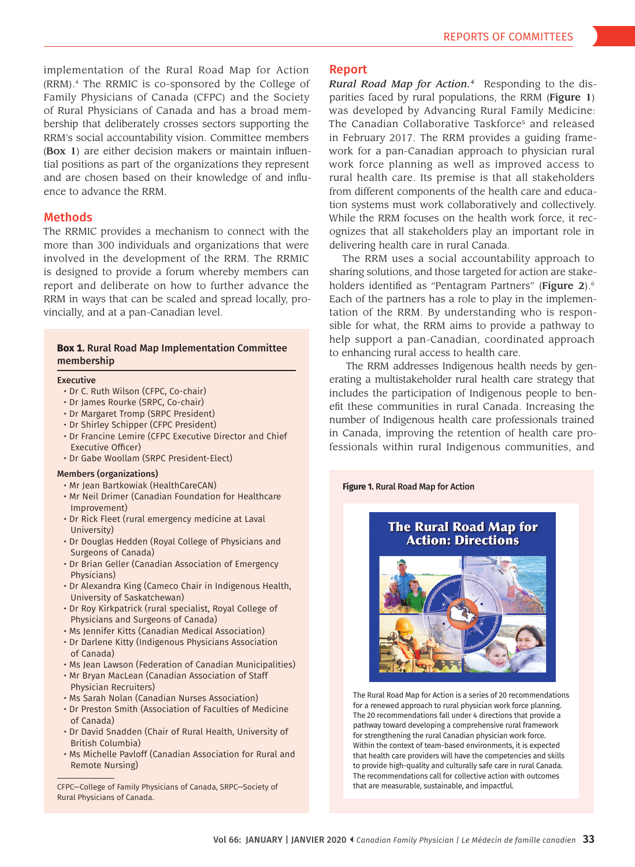implementation of the Rural Road Map for Action (RRM).4 The RRMIC is co-sponsored by the College of Family Physicians of Canada (CFPC) and the Society of Rural Physicians of Canada and has a broad membership that deliberately crosses sectors supporting the RRM's social accountability vision. Committee members (Box 1) are either decision makers or maintain influential positions as part of the organizations they represent and are chosen based on their knowledge of and influence to advance the RRM.

## Methods

The RRMIC provides a mechanism to connect with the more than 300 individuals and organizations that were involved in the development of the RRM. The RRMIC is designed to provide a forum whereby members can report and deliberate on how to further advance the RRM in ways that can be scaled and spread locally, provincially, and at a pan-Canadian level.

#### **Box 1.** Rural Road Map Implementation Committee membership

#### Executive

- Dr C. Ruth Wilson (CFPC, Co-chair)
- Dr James Rourke (SRPC, Co-chair)
- Dr Margaret Tromp (SRPC President)
- Dr Shirley Schipper (CFPC President)
- Dr Francine Lemire (CFPC Executive Director and Chief Executive Officer)
- Dr Gabe Woollam (SRPC President-Elect)

#### Members (organizations)

- Mr Jean Bartkowiak (HealthCareCAN)
- Mr Neil Drimer (Canadian Foundation for Healthcare Improvement)
- Dr Rick Fleet (rural emergency medicine at Laval University)
- Dr Douglas Hedden (Royal College of Physicians and Surgeons of Canada)
- Dr Brian Geller (Canadian Association of Emergency Physicians)
- Dr Alexandra King (Cameco Chair in Indigenous Health, University of Saskatchewan)
- Dr Roy Kirkpatrick (rural specialist, Royal College of Physicians and Surgeons of Canada)
- Ms Jennifer Kitts (Canadian Medical Association)
- Dr Darlene Kitty (Indigenous Physicians Association of Canada)
- Ms Jean Lawson (Federation of Canadian Municipalities)
- Mr Bryan MacLean (Canadian Association of Staff Physician Recruiters)
- Ms Sarah Nolan (Canadian Nurses Association)
- Dr Preston Smith (Association of Faculties of Medicine of Canada)
- Dr David Snadden (Chair of Rural Health, University of British Columbia)
- Ms Michelle Pavloff (Canadian Association for Rural and Remote Nursing)

CFPC—College of Family Physicians of Canada, SRPC—Society of Rural Physicians of Canada.

#### Report

*Rural Road Map for Action.4* Responding to the disparities faced by rural populations, the RRM (Figure 1) was developed by Advancing Rural Family Medicine: The Canadian Collaborative Taskforce<sup>5</sup> and released in February 2017. The RRM provides a guiding framework for a pan-Canadian approach to physician rural work force planning as well as improved access to rural health care. Its premise is that all stakeholders from different components of the health care and education systems must work collaboratively and collectively. While the RRM focuses on the health work force, it recognizes that all stakeholders play an important role in delivering health care in rural Canada.

The RRM uses a social accountability approach to sharing solutions, and those targeted for action are stakeholders identified as "Pentagram Partners" (Figure 2).<sup>6</sup> Each of the partners has a role to play in the implementation of the RRM. By understanding who is responsible for what, the RRM aims to provide a pathway to help support a pan-Canadian, coordinated approach to enhancing rural access to health care.

The RRM addresses Indigenous health needs by generating a multistakeholder rural health care strategy that includes the participation of Indigenous people to benefit these communities in rural Canada. Increasing the number of Indigenous health care professionals trained in Canada, improving the retention of health care professionals within rural Indigenous communities, and

**Figure 1.** Rural Road Map for Action

## **The Rural Road Map for Action: Directions**



The Rural Road Map for Action is a series of 20 recommendations for a renewed approach to rural physician work force planning. The 20 recommendations fall under 4 directions that provide a pathway toward developing a comprehensive rural framework for strengthening the rural Canadian physician work force. Within the context of team-based environments, it is expected that health care providers will have the competencies and skills to provide high-quality and culturally safe care in rural Canada. The recommendations call for collective action with outcomes that are measurable, sustainable, and impactful.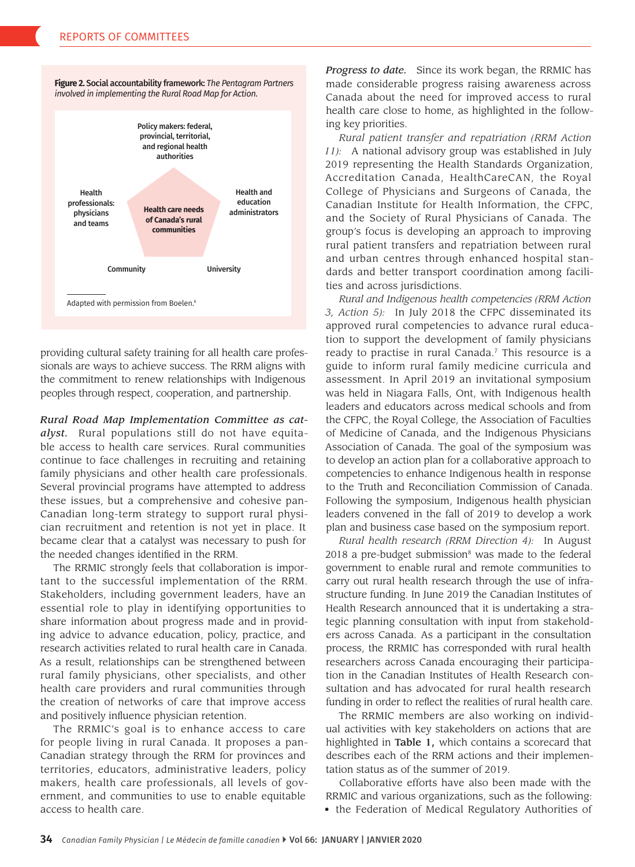



providing cultural safety training for all health care professionals are ways to achieve success. The RRM aligns with the commitment to renew relationships with Indigenous peoples through respect, cooperation, and partnership.

*Rural Road Map Implementation Committee as catalyst.* Rural populations still do not have equitable access to health care services. Rural communities continue to face challenges in recruiting and retaining family physicians and other health care professionals. Several provincial programs have attempted to address these issues, but a comprehensive and cohesive pan-Canadian long-term strategy to support rural physician recruitment and retention is not yet in place. It became clear that a catalyst was necessary to push for the needed changes identified in the RRM.

The RRMIC strongly feels that collaboration is important to the successful implementation of the RRM. Stakeholders, including government leaders, have an essential role to play in identifying opportunities to share information about progress made and in providing advice to advance education, policy, practice, and research activities related to rural health care in Canada. As a result, relationships can be strengthened between rural family physicians, other specialists, and other health care providers and rural communities through the creation of networks of care that improve access and positively influence physician retention.

The RRMIC's goal is to enhance access to care for people living in rural Canada. It proposes a pan-Canadian strategy through the RRM for provinces and territories, educators, administrative leaders, policy makers, health care professionals, all levels of government, and communities to use to enable equitable access to health care.

*Progress to date.* Since its work began, the RRMIC has made considerable progress raising awareness across Canada about the need for improved access to rural health care close to home, as highlighted in the following key priorities.

*Rural patient transfer and repatriation (RRM Action 11):* A national advisory group was established in July 2019 representing the Health Standards Organization, Accreditation Canada, HealthCareCAN, the Royal College of Physicians and Surgeons of Canada, the Canadian Institute for Health Information, the CFPC, and the Society of Rural Physicians of Canada. The group's focus is developing an approach to improving rural patient transfers and repatriation between rural and urban centres through enhanced hospital standards and better transport coordination among facilities and across jurisdictions.

*Rural and Indigenous health competencies (RRM Action 3, Action 5):* In July 2018 the CFPC disseminated its approved rural competencies to advance rural education to support the development of family physicians ready to practise in rural Canada.<sup>7</sup> This resource is a guide to inform rural family medicine curricula and assessment. In April 2019 an invitational symposium was held in Niagara Falls, Ont, with Indigenous health leaders and educators across medical schools and from the CFPC, the Royal College, the Association of Faculties of Medicine of Canada, and the Indigenous Physicians Association of Canada. The goal of the symposium was to develop an action plan for a collaborative approach to competencies to enhance Indigenous health in response to the Truth and Reconciliation Commission of Canada. Following the symposium, Indigenous health physician leaders convened in the fall of 2019 to develop a work plan and business case based on the symposium report.

*Rural health research (RRM Direction 4):* In August  $2018$  a pre-budget submission<sup>8</sup> was made to the federal government to enable rural and remote communities to carry out rural health research through the use of infrastructure funding. In June 2019 the Canadian Institutes of Health Research announced that it is undertaking a strategic planning consultation with input from stakeholders across Canada. As a participant in the consultation process, the RRMIC has corresponded with rural health researchers across Canada encouraging their participation in the Canadian Institutes of Health Research consultation and has advocated for rural health research funding in order to reflect the realities of rural health care.

The RRMIC members are also working on individual activities with key stakeholders on actions that are highlighted in Table 1, which contains a scorecard that describes each of the RRM actions and their implementation status as of the summer of 2019.

Collaborative efforts have also been made with the RRMIC and various organizations, such as the following:

• the Federation of Medical Regulatory Authorities of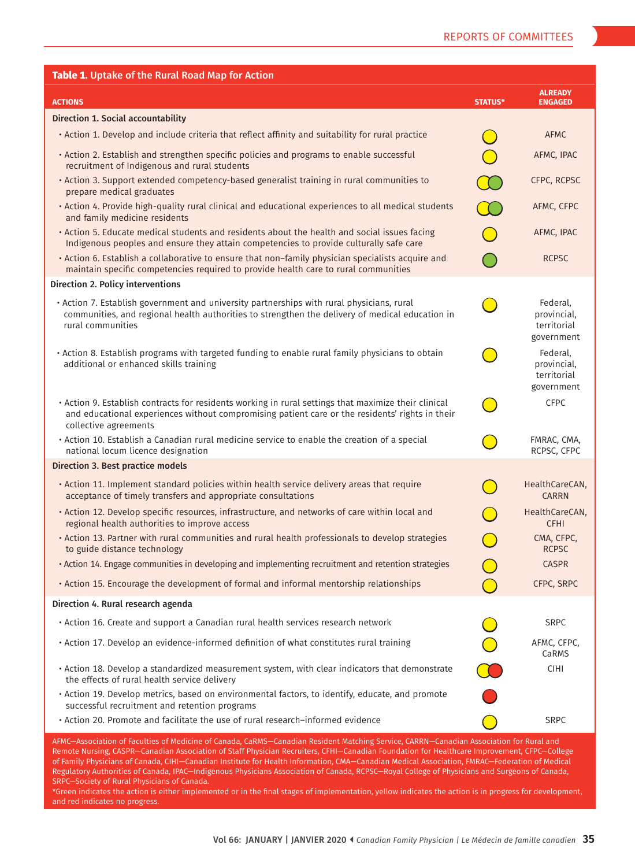| Table 1. Uptake of the Rural Road Map for Action                                                                                                                                                                                                                                                                                                                                                                                        |                |                                                      |
|-----------------------------------------------------------------------------------------------------------------------------------------------------------------------------------------------------------------------------------------------------------------------------------------------------------------------------------------------------------------------------------------------------------------------------------------|----------------|------------------------------------------------------|
| <b>ACTIONS</b>                                                                                                                                                                                                                                                                                                                                                                                                                          | <b>STATUS*</b> | <b>ALREADY</b><br><b>ENGAGED</b>                     |
| <b>Direction 1. Social accountability</b>                                                                                                                                                                                                                                                                                                                                                                                               |                |                                                      |
| . Action 1. Develop and include criteria that reflect affinity and suitability for rural practice                                                                                                                                                                                                                                                                                                                                       |                | <b>AFMC</b>                                          |
| . Action 2. Establish and strengthen specific policies and programs to enable successful<br>recruitment of Indigenous and rural students                                                                                                                                                                                                                                                                                                |                | AFMC, IPAC                                           |
| . Action 3. Support extended competency-based generalist training in rural communities to<br>prepare medical graduates                                                                                                                                                                                                                                                                                                                  |                | CFPC, RCPSC                                          |
| . Action 4. Provide high-quality rural clinical and educational experiences to all medical students<br>and family medicine residents                                                                                                                                                                                                                                                                                                    |                | AFMC, CFPC                                           |
| . Action 5. Educate medical students and residents about the health and social issues facing<br>Indigenous peoples and ensure they attain competencies to provide culturally safe care                                                                                                                                                                                                                                                  |                | AFMC, IPAC                                           |
| · Action 6. Establish a collaborative to ensure that non-family physician specialists acquire and<br>maintain specific competencies required to provide health care to rural communities                                                                                                                                                                                                                                                |                | <b>RCPSC</b>                                         |
| Direction 2. Policy interventions                                                                                                                                                                                                                                                                                                                                                                                                       |                |                                                      |
| • Action 7. Establish government and university partnerships with rural physicians, rural<br>communities, and regional health authorities to strengthen the delivery of medical education in<br>rural communities                                                                                                                                                                                                                       |                | Federal.<br>provincial,<br>territorial<br>government |
| • Action 8. Establish programs with targeted funding to enable rural family physicians to obtain<br>additional or enhanced skills training                                                                                                                                                                                                                                                                                              |                | Federal,<br>provincial,<br>territorial<br>government |
| · Action 9. Establish contracts for residents working in rural settings that maximize their clinical<br>and educational experiences without compromising patient care or the residents' rights in their<br>collective agreements                                                                                                                                                                                                        |                | <b>CFPC</b>                                          |
| . Action 10. Establish a Canadian rural medicine service to enable the creation of a special<br>national locum licence designation                                                                                                                                                                                                                                                                                                      |                | FMRAC, CMA,<br>RCPSC, CFPC                           |
| Direction 3. Best practice models                                                                                                                                                                                                                                                                                                                                                                                                       |                |                                                      |
| . Action 11. Implement standard policies within health service delivery areas that require<br>acceptance of timely transfers and appropriate consultations                                                                                                                                                                                                                                                                              |                | HealthCareCAN,<br><b>CARRN</b>                       |
| · Action 12. Develop specific resources, infrastructure, and networks of care within local and<br>regional health authorities to improve access                                                                                                                                                                                                                                                                                         |                | HealthCareCAN,<br><b>CFHI</b>                        |
| · Action 13. Partner with rural communities and rural health professionals to develop strategies<br>to guide distance technology                                                                                                                                                                                                                                                                                                        |                | CMA, CFPC,<br><b>RCPSC</b>                           |
| · Action 14. Engage communities in developing and implementing recruitment and retention strategies                                                                                                                                                                                                                                                                                                                                     |                | <b>CASPR</b>                                         |
| • Action 15. Encourage the development of formal and informal mentorship relationships                                                                                                                                                                                                                                                                                                                                                  |                | CFPC, SRPC                                           |
| Direction 4. Rural research agenda                                                                                                                                                                                                                                                                                                                                                                                                      |                |                                                      |
| . Action 16. Create and support a Canadian rural health services research network                                                                                                                                                                                                                                                                                                                                                       |                | <b>SRPC</b>                                          |
| · Action 17. Develop an evidence-informed definition of what constitutes rural training                                                                                                                                                                                                                                                                                                                                                 |                | AFMC, CFPC,<br>CaRMS                                 |
| . Action 18. Develop a standardized measurement system, with clear indicators that demonstrate<br>the effects of rural health service delivery                                                                                                                                                                                                                                                                                          |                | <b>CIHI</b>                                          |
| . Action 19. Develop metrics, based on environmental factors, to identify, educate, and promote<br>successful recruitment and retention programs                                                                                                                                                                                                                                                                                        |                |                                                      |
| • Action 20. Promote and facilitate the use of rural research–informed evidence                                                                                                                                                                                                                                                                                                                                                         |                | <b>SRPC</b>                                          |
| AFMC—Association of Faculties of Medicine of Canada, CaRMS—Canadian Resident Matching Service, CARRN—Canadian Association for Rural and<br>Remote Nursing, CASPR—Canadian Association of Staff Physician Recruiters, CFHI—Canadian Foundation for Healthcare Improvement, CFPC—College<br>of Family Physicians of Canada, CIHI—Canadian Institute for Health Information, CMA—Canadian Medical Association, FMRAC—Federation of Medical |                |                                                      |

Regulatory Authorities of Canada, IPAC—Indigenous Physicians Association of Canada, RCPSC—Royal College of Physicians and Surgeons of Canada, SRPC—Society of Rural Physicians of Canada.

\*Green indicates the action is either implemented or in the final stages of implementation, yellow indicates the action is in progress for development, and red indicates no progress.